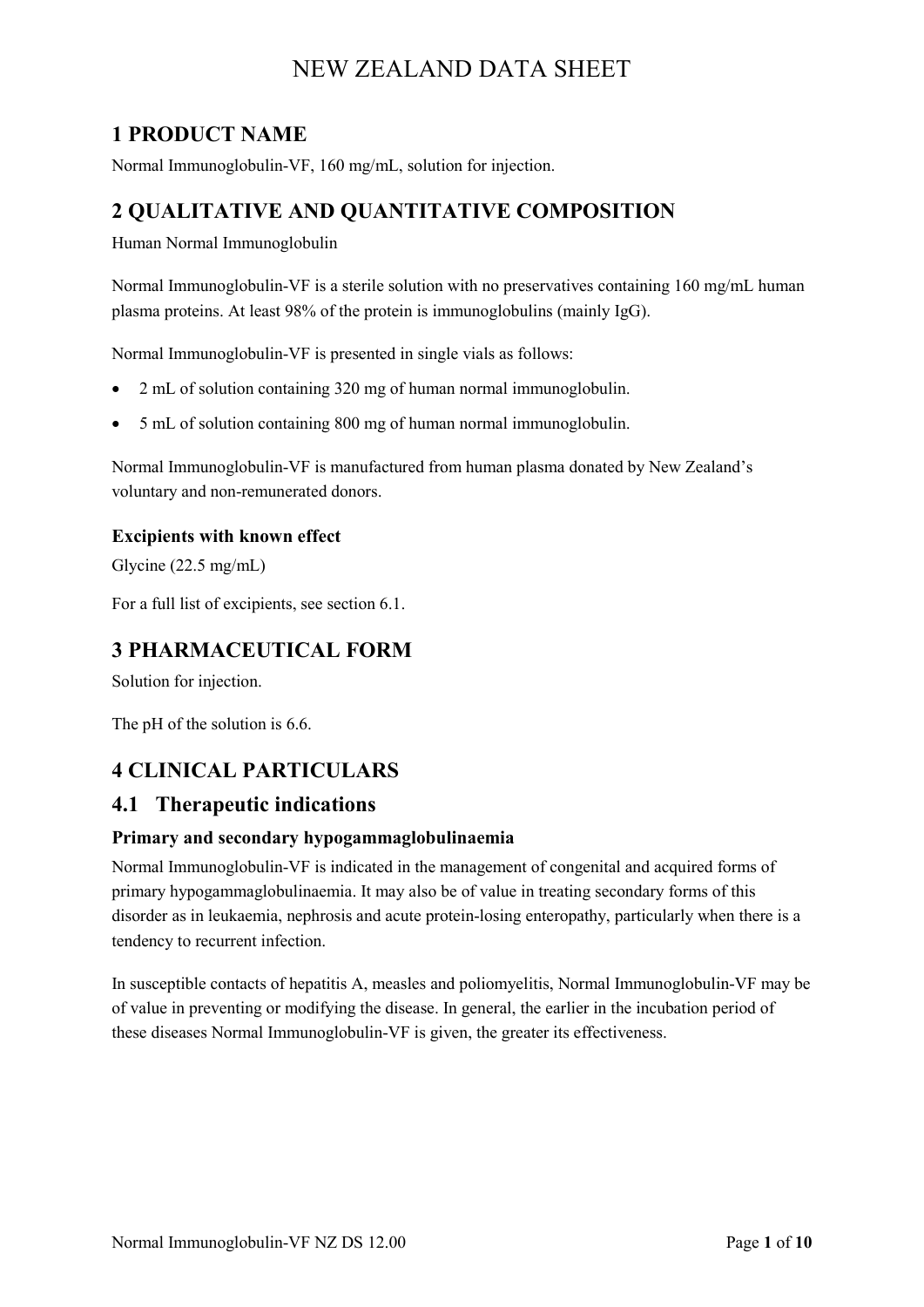## **1 PRODUCT NAME**

Normal Immunoglobulin-VF, 160 mg/mL, solution for injection.

## **2 QUALITATIVE AND QUANTITATIVE COMPOSITION**

Human Normal Immunoglobulin

Normal Immunoglobulin-VF is a sterile solution with no preservatives containing 160 mg/mL human plasma proteins. At least 98% of the protein is immunoglobulins (mainly IgG).

Normal Immunoglobulin-VF is presented in single vials as follows:

- 2 mL of solution containing 320 mg of human normal immunoglobulin.
- 5 mL of solution containing 800 mg of human normal immunoglobulin.

Normal Immunoglobulin-VF is manufactured from human plasma donated by New Zealand's voluntary and non-remunerated donors.

#### **Excipients with known effect**

Glycine (22.5 mg/mL)

For a full list of excipients, see section 6.1.

## **3 PHARMACEUTICAL FORM**

Solution for injection.

The pH of the solution is 6.6.

## **4 CLINICAL PARTICULARS**

### **4.1 Therapeutic indications**

#### **Primary and secondary hypogammaglobulinaemia**

Normal Immunoglobulin-VF is indicated in the management of congenital and acquired forms of primary hypogammaglobulinaemia. It may also be of value in treating secondary forms of this disorder as in leukaemia, nephrosis and acute protein-losing enteropathy, particularly when there is a tendency to recurrent infection.

In susceptible contacts of hepatitis A, measles and poliomyelitis, Normal Immunoglobulin-VF may be of value in preventing or modifying the disease. In general, the earlier in the incubation period of these diseases Normal Immunoglobulin-VF is given, the greater its effectiveness.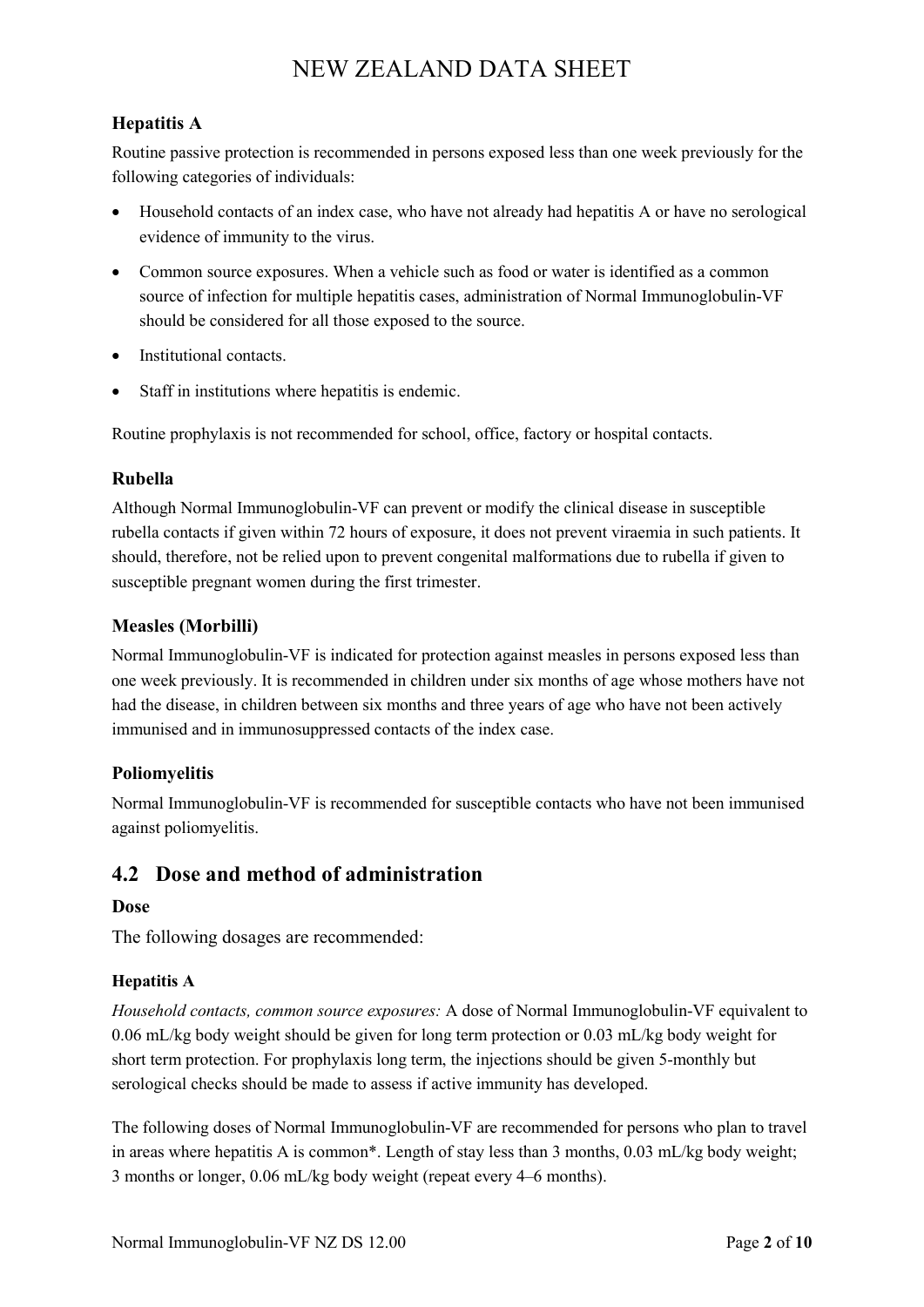### **Hepatitis A**

Routine passive protection is recommended in persons exposed less than one week previously for the following categories of individuals:

- Household contacts of an index case, who have not already had hepatitis A or have no serological evidence of immunity to the virus.
- Common source exposures. When a vehicle such as food or water is identified as a common source of infection for multiple hepatitis cases, administration of Normal Immunoglobulin-VF should be considered for all those exposed to the source.
- Institutional contacts.
- Staff in institutions where hepatitis is endemic.

Routine prophylaxis is not recommended for school, office, factory or hospital contacts.

#### **Rubella**

Although Normal Immunoglobulin-VF can prevent or modify the clinical disease in susceptible rubella contacts if given within 72 hours of exposure, it does not prevent viraemia in such patients. It should, therefore, not be relied upon to prevent congenital malformations due to rubella if given to susceptible pregnant women during the first trimester.

#### **Measles (Morbilli)**

Normal Immunoglobulin-VF is indicated for protection against measles in persons exposed less than one week previously. It is recommended in children under six months of age whose mothers have not had the disease, in children between six months and three years of age who have not been actively immunised and in immunosuppressed contacts of the index case.

#### **Poliomyelitis**

Normal Immunoglobulin-VF is recommended for susceptible contacts who have not been immunised against poliomyelitis.

### **4.2 Dose and method of administration**

#### **Dose**

The following dosages are recommended:

#### **Hepatitis A**

*Household contacts, common source exposures:* A dose of Normal Immunoglobulin-VF equivalent to 0.06 mL/kg body weight should be given for long term protection or 0.03 mL/kg body weight for short term protection. For prophylaxis long term, the injections should be given 5-monthly but serological checks should be made to assess if active immunity has developed.

The following doses of Normal Immunoglobulin-VF are recommended for persons who plan to travel in areas where hepatitis A is common\*. Length of stay less than 3 months, 0.03 mL/kg body weight; 3 months or longer, 0.06 mL/kg body weight (repeat every 4–6 months).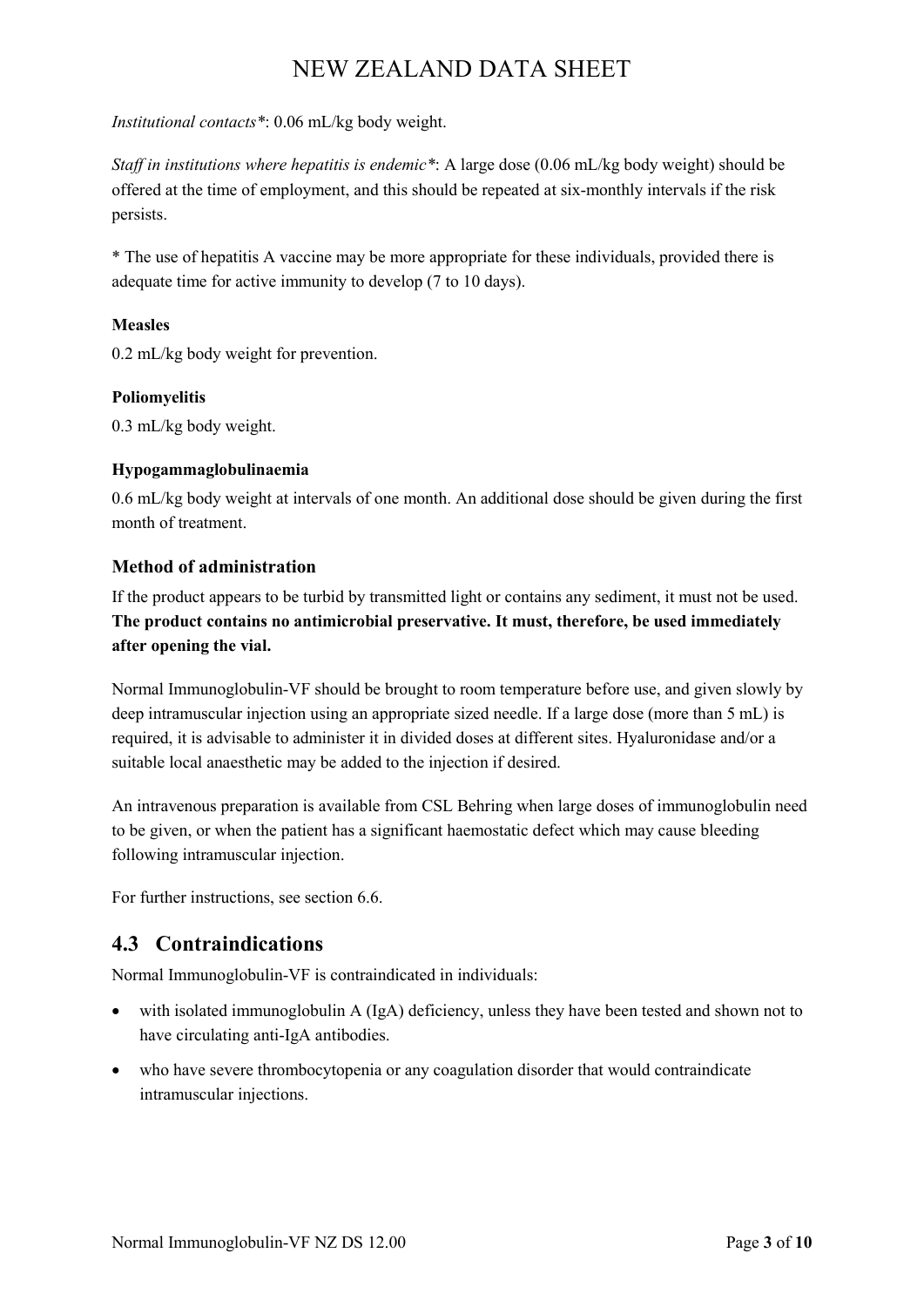*Institutional contacts\**: 0.06 mL/kg body weight.

*Staff in institutions where hepatitis is endemic\**: A large dose (0.06 mL/kg body weight) should be offered at the time of employment, and this should be repeated at six-monthly intervals if the risk persists.

\* The use of hepatitis A vaccine may be more appropriate for these individuals, provided there is adequate time for active immunity to develop (7 to 10 days).

#### **Measles**

0.2 mL/kg body weight for prevention.

#### **Poliomyelitis**

0.3 mL/kg body weight.

#### **Hypogammaglobulinaemia**

0.6 mL/kg body weight at intervals of one month. An additional dose should be given during the first month of treatment.

#### **Method of administration**

If the product appears to be turbid by transmitted light or contains any sediment, it must not be used. **The product contains no antimicrobial preservative. It must, therefore, be used immediately after opening the vial.**

Normal Immunoglobulin-VF should be brought to room temperature before use, and given slowly by deep intramuscular injection using an appropriate sized needle. If a large dose (more than 5 mL) is required, it is advisable to administer it in divided doses at different sites. Hyaluronidase and/or a suitable local anaesthetic may be added to the injection if desired.

An intravenous preparation is available from CSL Behring when large doses of immunoglobulin need to be given, or when the patient has a significant haemostatic defect which may cause bleeding following intramuscular injection.

For further instructions, see section 6.6.

### **4.3 Contraindications**

Normal Immunoglobulin-VF is contraindicated in individuals:

- with isolated immunoglobulin A (IgA) deficiency, unless they have been tested and shown not to have circulating anti-IgA antibodies.
- who have severe thrombocytopenia or any coagulation disorder that would contraindicate intramuscular injections.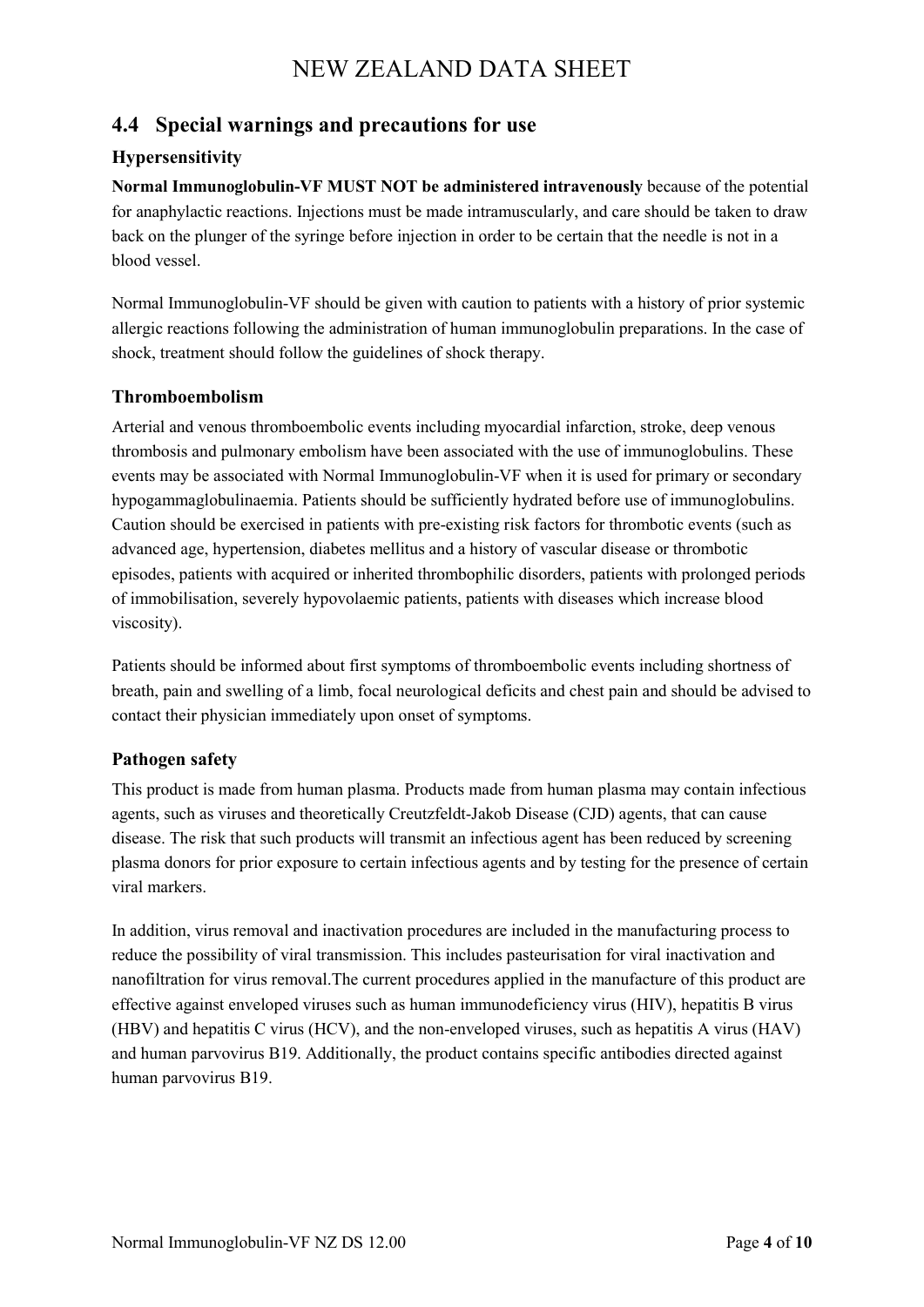### **4.4 Special warnings and precautions for use**

#### **Hypersensitivity**

**Normal Immunoglobulin-VF MUST NOT be administered intravenously** because of the potential for anaphylactic reactions. Injections must be made intramuscularly, and care should be taken to draw back on the plunger of the syringe before injection in order to be certain that the needle is not in a blood vessel.

Normal Immunoglobulin-VF should be given with caution to patients with a history of prior systemic allergic reactions following the administration of human immunoglobulin preparations. In the case of shock, treatment should follow the guidelines of shock therapy.

#### **Thromboembolism**

Arterial and venous thromboembolic events including myocardial infarction, stroke, deep venous thrombosis and pulmonary embolism have been associated with the use of immunoglobulins. These events may be associated with Normal Immunoglobulin-VF when it is used for primary or secondary hypogammaglobulinaemia. Patients should be sufficiently hydrated before use of immunoglobulins. Caution should be exercised in patients with pre-existing risk factors for thrombotic events (such as advanced age, hypertension, diabetes mellitus and a history of vascular disease or thrombotic episodes, patients with acquired or inherited thrombophilic disorders, patients with prolonged periods of immobilisation, severely hypovolaemic patients, patients with diseases which increase blood viscosity).

Patients should be informed about first symptoms of thromboembolic events including shortness of breath, pain and swelling of a limb, focal neurological deficits and chest pain and should be advised to contact their physician immediately upon onset of symptoms.

#### **Pathogen safety**

This product is made from human plasma. Products made from human plasma may contain infectious agents, such as viruses and theoretically Creutzfeldt-Jakob Disease (CJD) agents, that can cause disease. The risk that such products will transmit an infectious agent has been reduced by screening plasma donors for prior exposure to certain infectious agents and by testing for the presence of certain viral markers.

In addition, virus removal and inactivation procedures are included in the manufacturing process to reduce the possibility of viral transmission. This includes pasteurisation for viral inactivation and nanofiltration for virus removal.The current procedures applied in the manufacture of this product are effective against enveloped viruses such as human immunodeficiency virus (HIV), hepatitis B virus (HBV) and hepatitis C virus (HCV), and the non-enveloped viruses, such as hepatitis A virus (HAV) and human parvovirus B19. Additionally, the product contains specific antibodies directed against human parvovirus B19.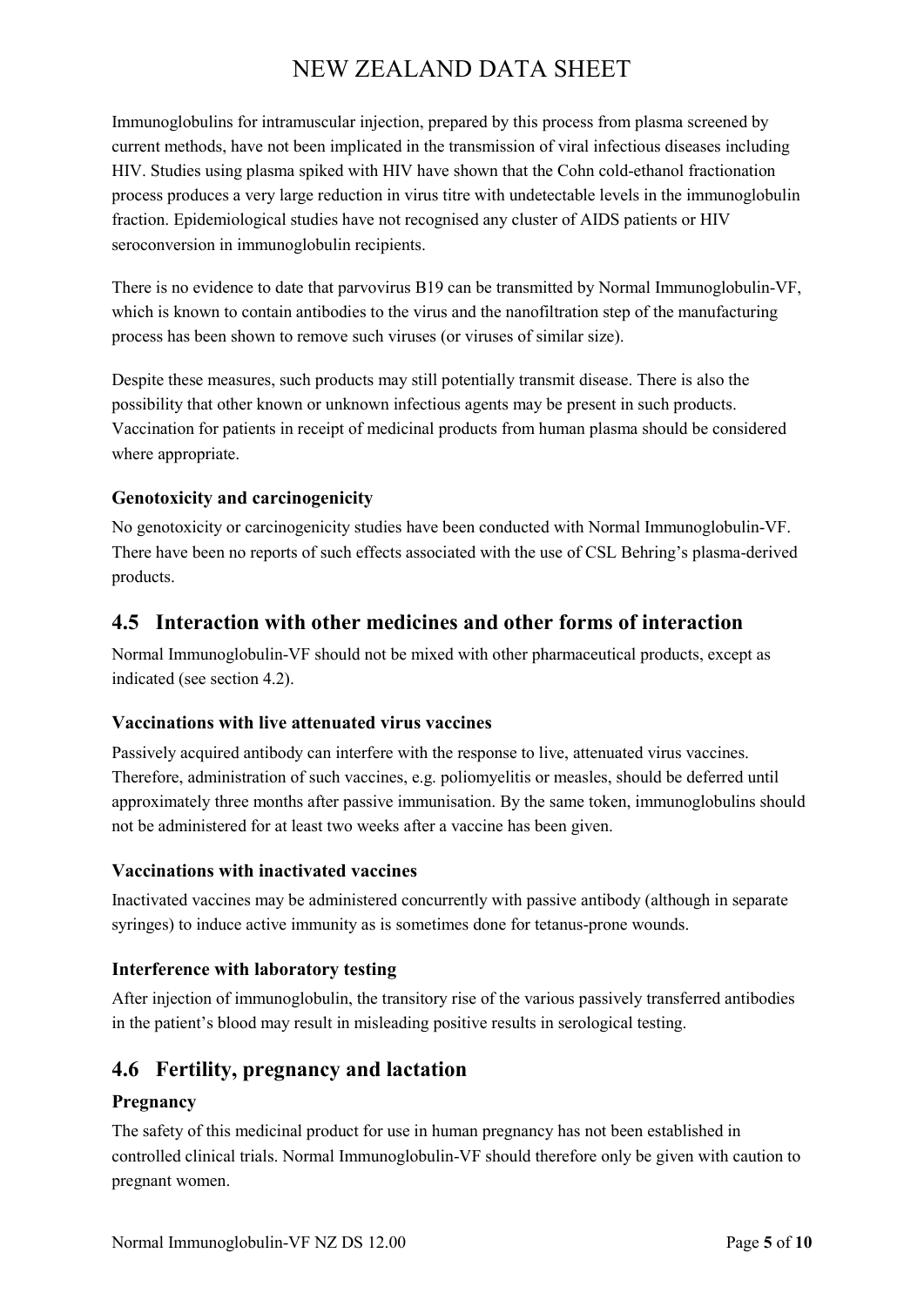Immunoglobulins for intramuscular injection, prepared by this process from plasma screened by current methods, have not been implicated in the transmission of viral infectious diseases including HIV. Studies using plasma spiked with HIV have shown that the Cohn cold-ethanol fractionation process produces a very large reduction in virus titre with undetectable levels in the immunoglobulin fraction. Epidemiological studies have not recognised any cluster of AIDS patients or HIV seroconversion in immunoglobulin recipients.

There is no evidence to date that parvovirus B19 can be transmitted by Normal Immunoglobulin-VF, which is known to contain antibodies to the virus and the nanofiltration step of the manufacturing process has been shown to remove such viruses (or viruses of similar size).

Despite these measures, such products may still potentially transmit disease. There is also the possibility that other known or unknown infectious agents may be present in such products. Vaccination for patients in receipt of medicinal products from human plasma should be considered where appropriate.

#### **Genotoxicity and carcinogenicity**

No genotoxicity or carcinogenicity studies have been conducted with Normal Immunoglobulin-VF. There have been no reports of such effects associated with the use of CSL Behring's plasma-derived products.

## **4.5 Interaction with other medicines and other forms of interaction**

Normal Immunoglobulin-VF should not be mixed with other pharmaceutical products, except as indicated (see section 4.2).

#### **Vaccinations with live attenuated virus vaccines**

Passively acquired antibody can interfere with the response to live, attenuated virus vaccines. Therefore, administration of such vaccines, e.g. poliomyelitis or measles, should be deferred until approximately three months after passive immunisation. By the same token, immunoglobulins should not be administered for at least two weeks after a vaccine has been given.

#### **Vaccinations with inactivated vaccines**

Inactivated vaccines may be administered concurrently with passive antibody (although in separate syringes) to induce active immunity as is sometimes done for tetanus-prone wounds.

#### **Interference with laboratory testing**

After injection of immunoglobulin, the transitory rise of the various passively transferred antibodies in the patient's blood may result in misleading positive results in serological testing.

### **4.6 Fertility, pregnancy and lactation**

#### **Pregnancy**

The safety of this medicinal product for use in human pregnancy has not been established in controlled clinical trials. Normal Immunoglobulin-VF should therefore only be given with caution to pregnant women.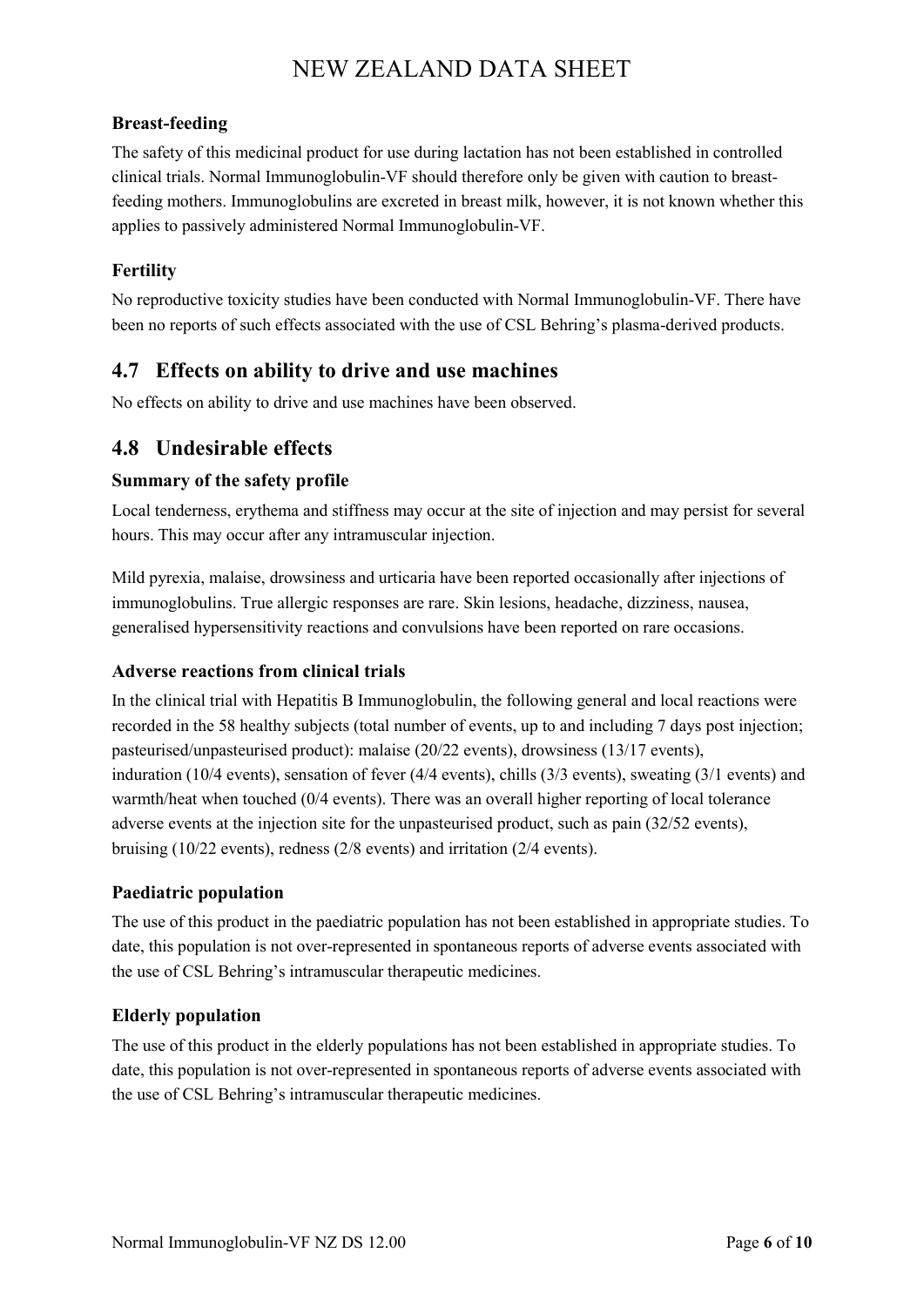#### **Breast-feeding**

The safety of this medicinal product for use during lactation has not been established in controlled clinical trials. Normal Immunoglobulin-VF should therefore only be given with caution to breastfeeding mothers. Immunoglobulins are excreted in breast milk, however, it is not known whether this applies to passively administered Normal Immunoglobulin-VF.

### **Fertility**

No reproductive toxicity studies have been conducted with Normal Immunoglobulin-VF. There have been no reports of such effects associated with the use of CSL Behring's plasma-derived products.

### **4.7 Effects on ability to drive and use machines**

No effects on ability to drive and use machines have been observed.

### **4.8 Undesirable effects**

#### **Summary of the safety profile**

Local tenderness, erythema and stiffness may occur at the site of injection and may persist for several hours. This may occur after any intramuscular injection.

Mild pyrexia, malaise, drowsiness and urticaria have been reported occasionally after injections of immunoglobulins. True allergic responses are rare. Skin lesions, headache, dizziness, nausea, generalised hypersensitivity reactions and convulsions have been reported on rare occasions.

#### **Adverse reactions from clinical trials**

In the clinical trial with Hepatitis B Immunoglobulin, the following general and local reactions were recorded in the 58 healthy subjects (total number of events, up to and including 7 days post injection; pasteurised/unpasteurised product): malaise (20/22 events), drowsiness (13/17 events), induration (10/4 events), sensation of fever (4/4 events), chills (3/3 events), sweating (3/1 events) and warmth/heat when touched (0/4 events). There was an overall higher reporting of local tolerance adverse events at the injection site for the unpasteurised product, such as pain (32/52 events), bruising (10/22 events), redness (2/8 events) and irritation (2/4 events).

#### **Paediatric population**

The use of this product in the paediatric population has not been established in appropriate studies. To date, this population is not over-represented in spontaneous reports of adverse events associated with the use of CSL Behring's intramuscular therapeutic medicines.

#### **Elderly population**

The use of this product in the elderly populations has not been established in appropriate studies. To date, this population is not over-represented in spontaneous reports of adverse events associated with the use of CSL Behring's intramuscular therapeutic medicines.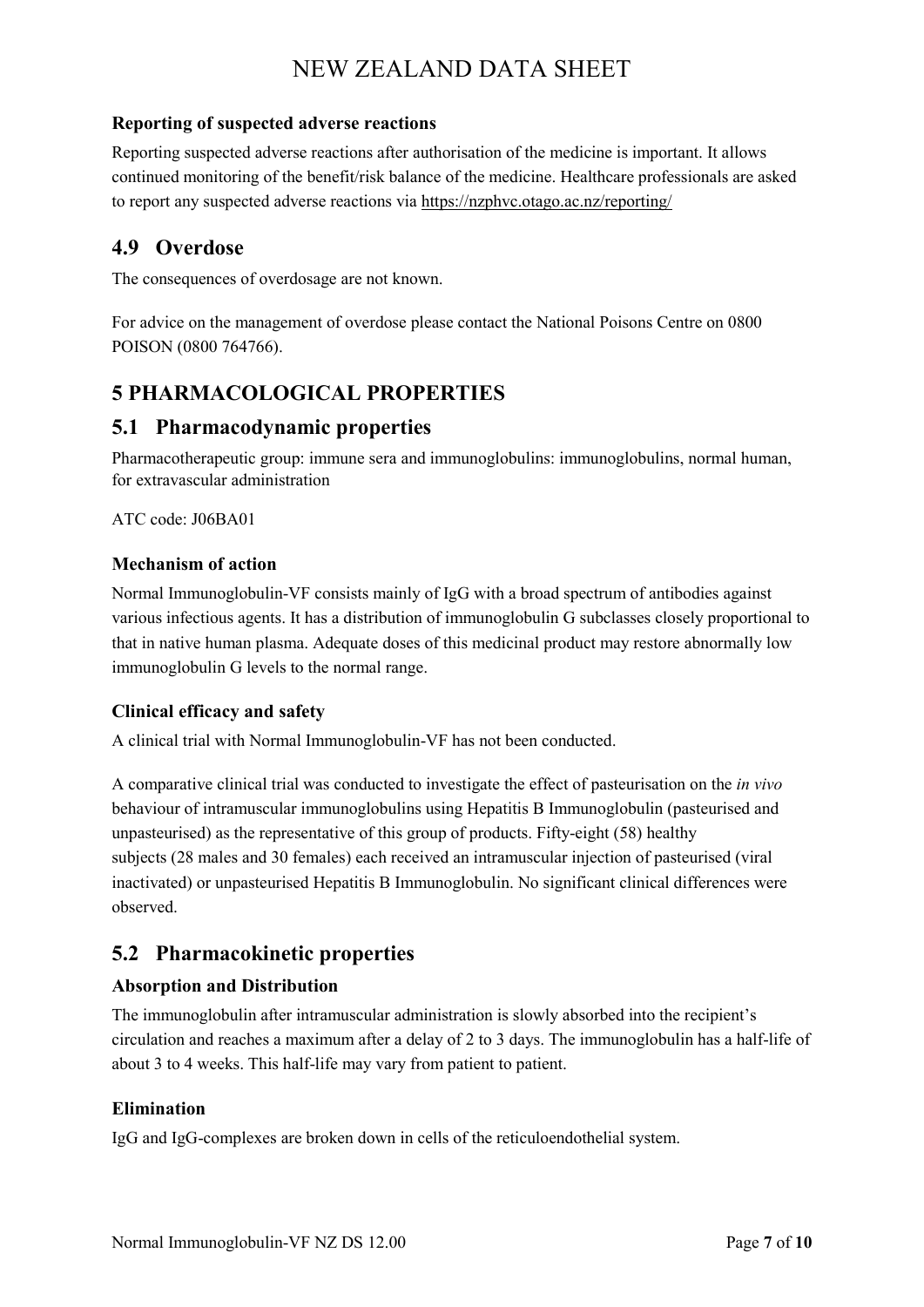#### **Reporting of suspected adverse reactions**

Reporting suspected adverse reactions after authorisation of the medicine is important. It allows continued monitoring of the benefit/risk balance of the medicine. Healthcare professionals are asked to report any suspected adverse reactions via https://nzphvc.otago.ac.nz/reporting/

## **4.9 Overdose**

The consequences of overdosage are not known.

For advice on the management of overdose please contact the National Poisons Centre on 0800 POISON (0800 764766).

## **5 PHARMACOLOGICAL PROPERTIES**

### **5.1 Pharmacodynamic properties**

Pharmacotherapeutic group: immune sera and immunoglobulins: immunoglobulins, normal human, for extravascular administration

ATC code: J06BA01

#### **Mechanism of action**

Normal Immunoglobulin-VF consists mainly of IgG with a broad spectrum of antibodies against various infectious agents. It has a distribution of immunoglobulin G subclasses closely proportional to that in native human plasma. Adequate doses of this medicinal product may restore abnormally low immunoglobulin G levels to the normal range.

#### **Clinical efficacy and safety**

A clinical trial with Normal Immunoglobulin-VF has not been conducted.

A comparative clinical trial was conducted to investigate the effect of pasteurisation on the *in vivo* behaviour of intramuscular immunoglobulins using Hepatitis B Immunoglobulin (pasteurised and unpasteurised) as the representative of this group of products. Fifty-eight (58) healthy subjects (28 males and 30 females) each received an intramuscular injection of pasteurised (viral inactivated) or unpasteurised Hepatitis B Immunoglobulin. No significant clinical differences were observed.

## **5.2 Pharmacokinetic properties**

#### **Absorption and Distribution**

The immunoglobulin after intramuscular administration is slowly absorbed into the recipient's circulation and reaches a maximum after a delay of 2 to 3 days. The immunoglobulin has a half-life of about 3 to 4 weeks. This half-life may vary from patient to patient.

#### **Elimination**

IgG and IgG-complexes are broken down in cells of the reticuloendothelial system.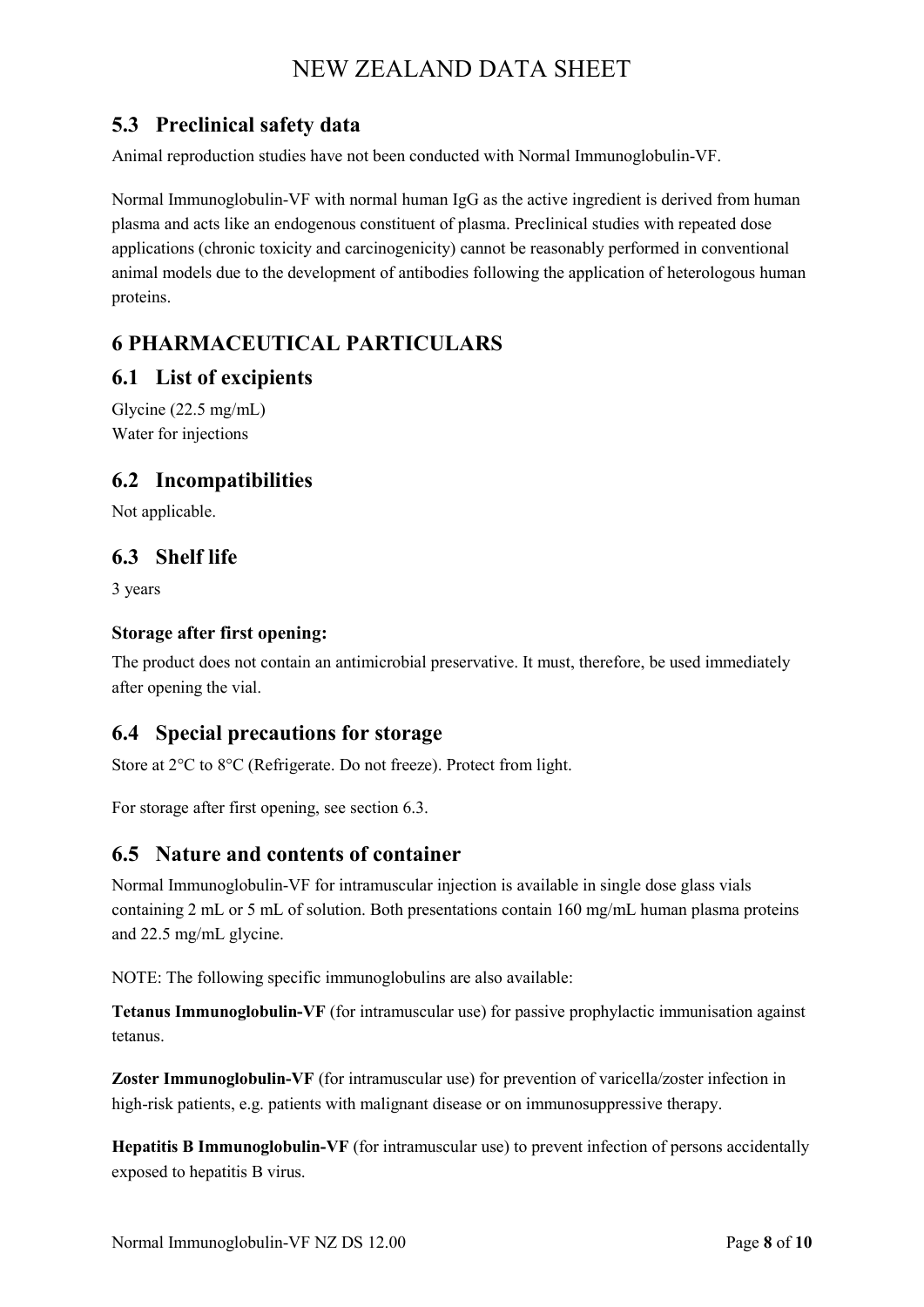## **5.3 Preclinical safety data**

Animal reproduction studies have not been conducted with Normal Immunoglobulin-VF.

Normal Immunoglobulin-VF with normal human IgG as the active ingredient is derived from human plasma and acts like an endogenous constituent of plasma. Preclinical studies with repeated dose applications (chronic toxicity and carcinogenicity) cannot be reasonably performed in conventional animal models due to the development of antibodies following the application of heterologous human proteins.

## **6 PHARMACEUTICAL PARTICULARS**

### **6.1 List of excipients**

Glycine (22.5 mg/mL) Water for injections

## **6.2 Incompatibilities**

Not applicable.

## **6.3 Shelf life**

3 years

#### **Storage after first opening:**

The product does not contain an antimicrobial preservative. It must, therefore, be used immediately after opening the vial.

## **6.4 Special precautions for storage**

Store at 2°C to 8°C (Refrigerate. Do not freeze). Protect from light.

For storage after first opening, see section 6.3.

## **6.5 Nature and contents of container**

Normal Immunoglobulin-VF for intramuscular injection is available in single dose glass vials containing 2 mL or 5 mL of solution. Both presentations contain 160 mg/mL human plasma proteins and 22.5 mg/mL glycine.

NOTE: The following specific immunoglobulins are also available:

**Tetanus Immunoglobulin-VF** (for intramuscular use) for passive prophylactic immunisation against tetanus.

**Zoster Immunoglobulin-VF** (for intramuscular use) for prevention of varicella/zoster infection in high-risk patients, e.g. patients with malignant disease or on immunosuppressive therapy.

**Hepatitis B Immunoglobulin-VF** (for intramuscular use) to prevent infection of persons accidentally exposed to hepatitis B virus.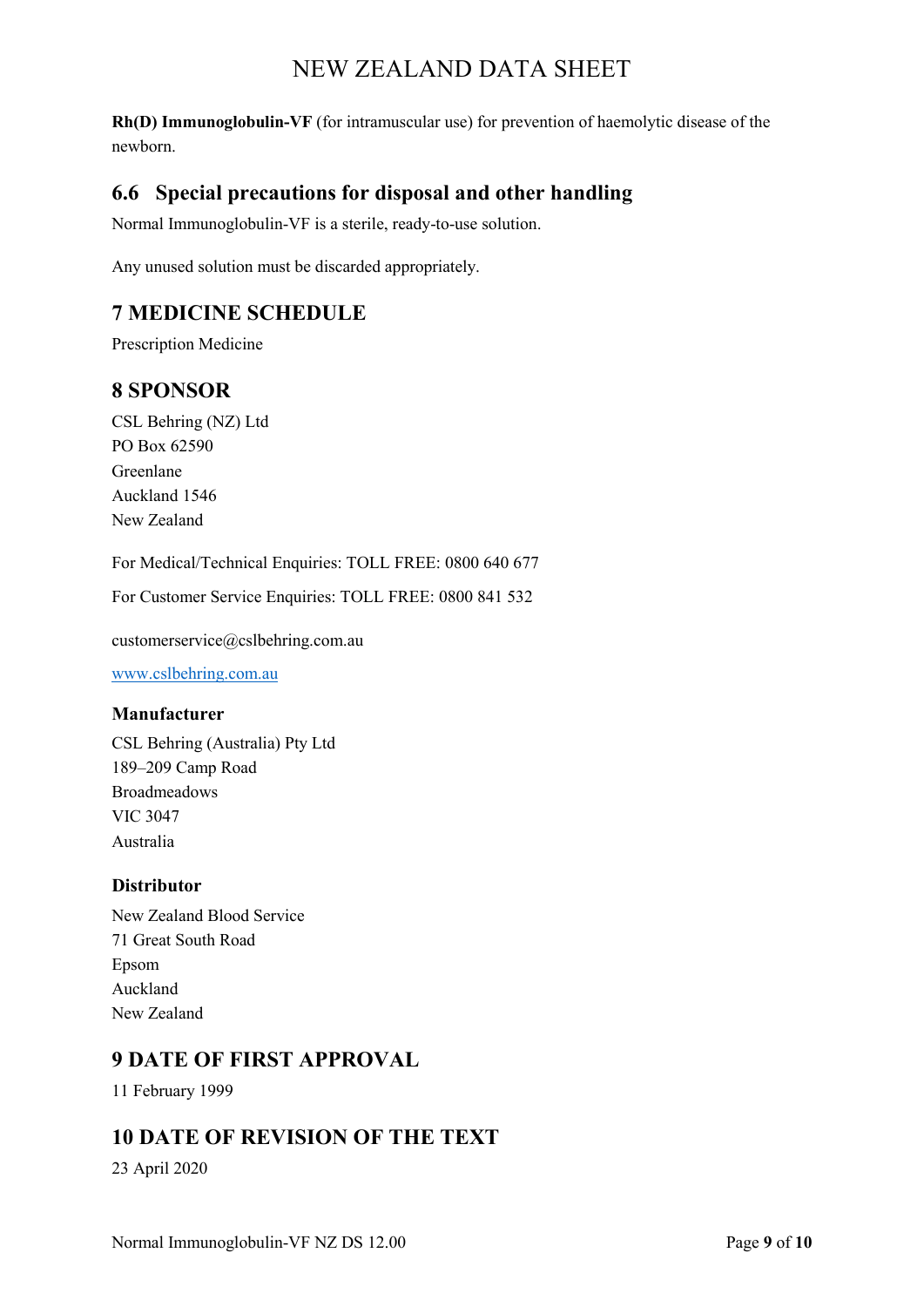**Rh(D) Immunoglobulin-VF** (for intramuscular use) for prevention of haemolytic disease of the newborn.

## **6.6 Special precautions for disposal and other handling**

Normal Immunoglobulin-VF is a sterile, ready-to-use solution.

Any unused solution must be discarded appropriately.

## **7 MEDICINE SCHEDULE**

Prescription Medicine

## **8 SPONSOR**

CSL Behring (NZ) Ltd PO Box 62590 Greenlane Auckland 1546 New Zealand

For Medical/Technical Enquiries: TOLL FREE: 0800 640 677

For Customer Service Enquiries: TOLL FREE: 0800 841 532

customerservice@cslbehring.com.au

[www.cslbehring.com.au](http://www.cslbehring.com.au/)

#### **Manufacturer**

CSL Behring (Australia) Pty Ltd 189–209 Camp Road Broadmeadows VIC 3047 Australia

#### **Distributor**

New Zealand Blood Service 71 Great South Road Epsom Auckland New Zealand

## **9 DATE OF FIRST APPROVAL**

11 February 1999

## **10 DATE OF REVISION OF THE TEXT**

23 April 2020